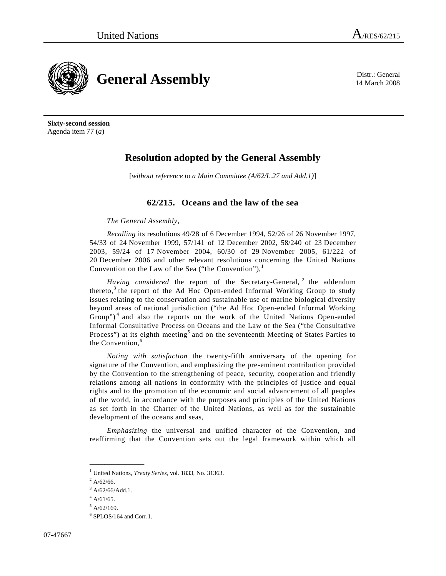14 March 2008



**Sixty-second session** Agenda item 77 (*a*)

# **Resolution adopted by the General Assembly**

[*without reference to a Main Committee (A/62/L.27 and Add.1)*]

## **62/215. Oceans and the law of the sea**

### *The General Assembly*,

*Recalling* its resolutions 49/28 of 6 December 1994, 52/26 of 26 November 1997, 54/33 of 24 November 1999, 57/141 of 12 December 2002, 58/240 of 23 December 2003, 59/24 of 17 November 2004, 60/30 of 29 November 2005, 61/222 of 20 December 2006 and other relevant resolutions concerning the United Nations Convention on the Law of the Sea ("the Convention"), $<sup>1</sup>$ </sup>

Having considered the report of the Secretary-General, <sup>2</sup> the addendum thereto,<sup>3</sup> the report of the Ad Hoc Open-ended Informal Working Group to study issues relating to the conservation and sustainable use of marine biological diversity beyond areas of national jurisdiction ("the Ad Hoc Open-ended Informal Working Group")<sup>4</sup> and also the reports on the work of the United Nations Open-ended Informal Consultative Process on Oceans and the Law of the Sea ("the Consultative Process") at its eighth meeting<sup>5</sup> and on the seventeenth Meeting of States Parties to the Convention,<sup>6</sup>

*Noting with satisfaction* the twenty-fifth anniversary of the opening for signature of the Convention, and emphasizing the pre-eminent contribution provided by the Convention to the strengthening of peace, security, cooperation and friendly relations among all nations in conformity with the principles of justice and equal rights and to the promotion of the economic and social advancement of all peoples of the world, in accordance with the purposes and principles of the United Nations as set forth in the Charter of the United Nations, as well as for the sustainable development of the oceans and seas,

*Emphasizing* the universal and unified character of the Convention, and reaffirming that the Convention sets out the legal framework within which all

<sup>1</sup> United Nations, *Treaty Series*, vol. 1833, No. 31363.

 $^{2}$  A/62/66.

 $3$  A/62/66/Add.1.

 $4$  A/61/65.

 $5$  A/62/169.

<sup>6</sup> SPLOS/164 and Corr.1.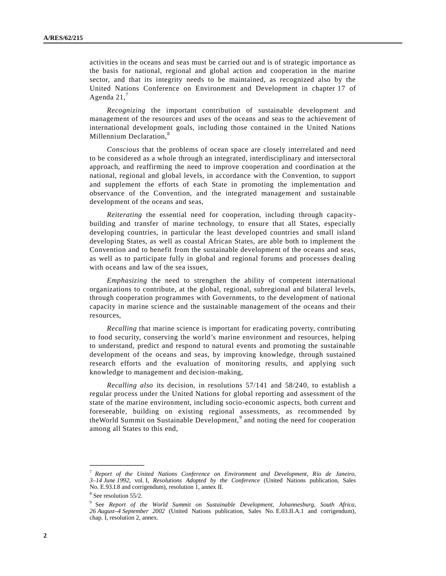activities in the oceans and seas must be carried out and is of strategic importance as the basis for national, regional and global action and cooperation in the marine sector, and that its integrity needs to be maintained, as recognized also by the United Nations Conference on Environment and Development in chapter 17 of Agenda  $21<sup>7</sup>$ 

*Recognizing* the important contribution of sustainable development and management of the resources and uses of the oceans and seas to the achievement of international development goals, including those contained in the United Nations Millennium Declaration,<sup>8</sup>

*Conscious* that the problems of ocean space are closely interrelated and need to be considered as a whole through an integrated, interdisciplinary and intersectoral approach, and reaffirming the need to improve cooperation and coordination at the national, regional and global levels, in accordance with the Convention, to support and supplement the efforts of each State in promoting the implementation and observance of the Convention, and the integrated management and sustainable development of the oceans and seas,

*Reiterating* the essential need for cooperation, including through capacitybuilding and transfer of marine technology, to ensure that all States, especially developing countries, in particular the least developed countries and small island developing States, as well as coastal African States, are able both to implement the Convention and to benefit from the sustainable development of the oceans and seas, as well as to participate fully in global and regional forums and processes dealing with oceans and law of the sea issues,

*Emphasizing* the need to strengthen the ability of competent international organizations to contribute, at the global, regional, subregional and bilateral levels, through cooperation programmes with Governments, to the development of national capacity in marine science and the sustainable management of the oceans and their resources,

*Recalling* that marine science is important for eradicating poverty, contributing to food security, conserving the world's marine environment and resources, helping to understand, predict and respond to natural events and promoting the sustainable development of the oceans and seas, by improving knowledge, through sustained research efforts and the evaluation of monitoring results, and applying such knowledge to management and decision-making,

*Recalling also* its decision, in resolutions 57/141 and 58/240, to establish a regular process under the United Nations for global reporting and assessment of the state of the marine environment, including socio-economic aspects, both current and foreseeable, building on existing regional assessments, as recommended by theWorld Summit on Sustainable Development,<sup>9</sup> and noting the need for cooperation among all States to this end,

<sup>7</sup> *Report of the United Nations Conference on Environment and Development, Rio de Janeiro, 3–14 June 1992*, vol. I, *Resolutions Adopted by the Conference* (United Nations publication, Sales No. E.93.I.8 and corrigendum), resolution 1, annex II.

<sup>8</sup> See resolution 55/2.

<sup>9</sup> See *Report of the World Summit on Sustainable Development, Johannesburg, South Africa, 26 August–4 September 2002* (United Nations publication, Sales No. E.03.II.A.1 and corrigendum), chap. I, resolution 2, annex.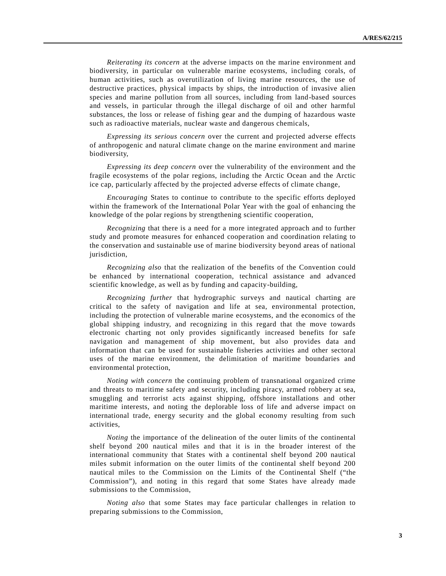*Reiterating its concern* at the adverse impacts on the marine environment and biodiversity, in particular on vulnerable marine ecosystems, including corals, of human activities, such as overutilization of living marine resources, the use of destructive practices, physical impacts by ships, the introduction of invasive alien species and marine pollution from all sources, including from land-based sources and vessels, in particular through the illegal discharge of oil and other harmful substances, the loss or release of fishing gear and the dumping of hazardous waste such as radioactive materials, nuclear waste and dangerous chemicals,

*Expressing its serious concern* over the current and projected adverse effects of anthropogenic and natural climate change on the marine environment and marine biodiversity,

*Expressing its deep concern* over the vulnerability of the environment and the fragile ecosystems of the polar regions, including the Arctic Ocean and the Arctic ice cap, particularly affected by the projected adverse effects of climate change,

*Encouraging* States to continue to contribute to the specific efforts deployed within the framework of the International Polar Year with the goal of enhancing the knowledge of the polar regions by strengthening scientific cooperation,

*Recognizing* that there is a need for a more integrated approach and to further study and promote measures for enhanced cooperation and coordination relating to the conservation and sustainable use of marine biodiversity beyond areas of national jurisdiction.

*Recognizing also* that the realization of the benefits of the Convention could be enhanced by international cooperation, technical assistance and advanced scientific knowledge, as well as by funding and capacity-building,

*Recognizing further* that hydrographic surveys and nautical charting are critical to the safety of navigation and life at sea, environmental protection, including the protection of vulnerable marine ecosystems, and the economics of the global shipping industry, and recognizing in this regard that the move towards electronic charting not only provides significantly increased benefits for safe navigation and management of ship movement, but also provides data and information that can be used for sustainable fisheries activities and other sectoral uses of the marine environment, the delimitation of maritime boundaries and environmental protection,

*Noting with concern* the continuing problem of transnational organized crime and threats to maritime safety and security, including piracy, armed robbery at sea, smuggling and terrorist acts against shipping, offshore installations and other maritime interests, and noting the deplorable loss of life and adverse impact on international trade, energy security and the global economy resulting from such activities,

*Noting* the importance of the delineation of the outer limits of the continental shelf beyond 200 nautical miles and that it is in the broader interest of the international community that States with a continental shelf beyond 200 nautical miles submit information on the outer limits of the continental shelf beyond 200 nautical miles to the Commission on the Limits of the Continental Shelf ("the Commission"), and noting in this regard that some States have already made submissions to the Commission,

*Noting also* that some States may face particular challenges in relation to preparing submissions to the Commission,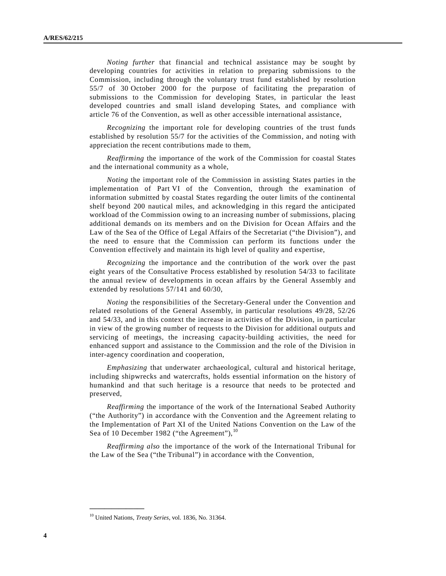*Noting further* that financial and technical assistance may be sought by developing countries for activities in relation to preparing submissions to the Commission, including through the voluntary trust fund established by resolution 55/7 of 30 October 2000 for the purpose of facilitating the preparation of submissions to the Commission for developing States, in particular the least developed countries and small island developing States, and compliance with article 76 of the Convention, as well as other accessible international assistance,

*Recognizing* the important role for developing countries of the trust funds established by resolution 55/7 for the activities of the Commission, and noting with appreciation the recent contributions made to them,

*Reaffirming* the importance of the work of the Commission for coastal States and the international community as a whole,

*Noting* the important role of the Commission in assisting States parties in the implementation of Part VI of the Convention, through the examination of information submitted by coastal States regarding the outer limits of the continental shelf beyond 200 nautical miles, and acknowledging in this regard the anticipated workload of the Commission owing to an increasing number of submissions, placing additional demands on its members and on the Division for Ocean Affairs and the Law of the Sea of the Office of Legal Affairs of the Secretariat ("the Division"), and the need to ensure that the Commission can perform its functions under the Convention effectively and maintain its high level of quality and expertise,

*Recognizing* the importance and the contribution of the work over the past eight years of the Consultative Process established by resolution 54/33 to facilitate the annual review of developments in ocean affairs by the General Assembly and extended by resolutions 57/141 and 60/30,

*Noting* the responsibilities of the Secretary-General under the Convention and related resolutions of the General Assembly, in particular resolutions 49/28, 52/26 and 54/33, and in this context the increase in activities of the Division, in particular in view of the growing number of requests to the Division for additional outputs and servicing of meetings, the increasing capacity-building activities, the need for enhanced support and assistance to the Commission and the role of the Division in inter-agency coordination and cooperation,

*Emphasizing* that underwater archaeological, cultural and historical heritage, including shipwrecks and watercrafts, holds essential information on the history of humankind and that such heritage is a resource that needs to be protected and preserved,

*Reaffirming* the importance of the work of the International Seabed Authority ("the Authority") in accordance with the Convention and the Agreement relating to the Implementation of Part XI of the United Nations Convention on the Law of the Sea of 10 December 1982 ("the Agreement"),  $10$ 

*Reaffirming also* the importance of the work of the International Tribunal for the Law of the Sea ("the Tribunal") in accordance with the Convention,

<sup>10</sup> United Nations, *Treaty Series*, vol. 1836, No. 31364.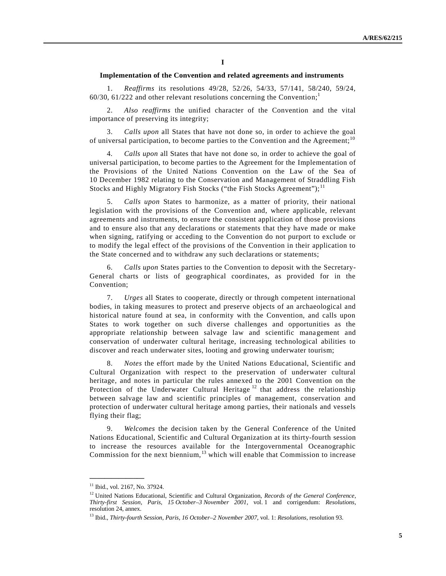#### **Implementation of the Convention and related agreements and instruments**

1. *Reaffirms* its resolutions 49/28, 52/26, 54/33, 57/141, 58/240, 59/24, 60/30, 61/222 and other relevant resolutions concerning the Convention;<sup>1</sup>

2. *Also reaffirms* the unified character of the Convention and the vital importance of preserving its integrity;

3. *Calls upon* all States that have not done so, in order to achieve the goal of universal participation, to become parties to the Convention and the Agreement;<sup>10</sup>

4. *Calls upon* all States that have not done so, in order to achieve the goal of universal participation, to become parties to the Agreement for the Implementation of the Provisions of the United Nations Convention on the Law of the Sea of 10 December 1982 relating to the Conservation and Management of Straddling Fish Stocks and Highly Migratory Fish Stocks ("the Fish Stocks Agreement"):<sup>11</sup>

5. *Calls upon* States to harmonize, as a matter of priority, their national legislation with the provisions of the Convention and, where applicable, relevant agreements and instruments, to ensure the consistent application of those provisions and to ensure also that any declarations or statements that they have made or make when signing, ratifying or acceding to the Convention do not purport to exclude or to modify the legal effect of the provisions of the Convention in their application to the State concerned and to withdraw any such declarations or statements;

6. *Calls upon* States parties to the Convention to deposit with the Secretary-General charts or lists of geographical coordinates, as provided for in the Convention;

7. *Urges* all States to cooperate, directly or through competent international bodies, in taking measures to protect and preserve objects of an archaeological and historical nature found at sea, in conformity with the Convention, and calls upon States to work together on such diverse challenges and opportunities as the appropriate relationship between salvage law and scientific management and conservation of underwater cultural heritage, increasing technological abilities to discover and reach underwater sites, looting and growing underwater tourism;

8. *Notes* the effort made by the United Nations Educational, Scientific and Cultural Organization with respect to the preservation of underwater cultural heritage, and notes in particular the rules annexed to the 2001 Convention on the Protection of the Underwater Cultural Heritage<sup>12</sup> that address the relationship between salvage law and scientific principles of management, conservation and protection of underwater cultural heritage among parties, their nationals and vessels flying their flag;

9. *Welcomes* the decision taken by the General Conference of the United Nations Educational, Scientific and Cultural Organization at its thirty-fourth session to increase the resources available for the Intergovernmental Oceanographic Commission for the next biennium, $13$  which will enable that Commission to increase

<sup>&</sup>lt;sup>11</sup> Ibid., vol. 2167, No. 37924.

<sup>12</sup> United Nations Educational, Scientific and Cultural Organization, *Records of the General Conference, Thirty-first Session, Paris, 15 October–3 November 2001*, vol. 1 and corrigendum: *Resolutions*, resolution 24, annex.

<sup>13</sup> Ibid., *Thirty-fourth Session, Paris, 16 October–2 November 2007*, vol. 1: *Resolutions*, resolution 93.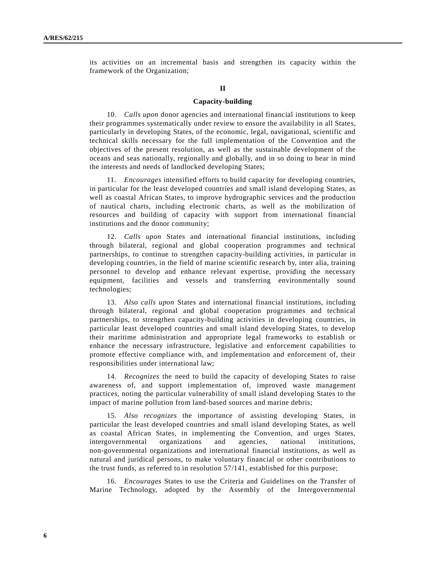its activities on an incremental basis and strengthen its capacity within the framework of the Organization;

### **II**

#### **Capacity-building**

10. *Calls upon* donor agencies and international financial institutions to keep their programmes systematically under review to ensure the availability in all States, particularly in developing States, of the economic, legal, navigational, scientific and technical skills necessary for the full implementation of the Convention and the objectives of the present resolution, as well as the sustainable development of the oceans and seas nationally, regionally and globally, and in so doing to bear in mind the interests and needs of landlocked developing States;

11. *Encourages* intensified efforts to build capacity for developing countries, in particular for the least developed countries and small island developing States, as well as coastal African States, to improve hydrographic services and the production of nautical charts, including electronic charts, as well as the mobilization of resources and building of capacity with support from international financial institutions and the donor community;

12. *Calls upon* States and international financial institutions, including through bilateral, regional and global cooperation programmes and technical partnerships, to continue to strengthen capacity-building activities, in particular in developing countries, in the field of marine scientific research by, inter alia, training personnel to develop and enhance relevant expertise, providing the necessary equipment, facilities and vessels and transferring environmentally sound technologies;

13. *Also calls upon* States and international financial institutions, including through bilateral, regional and global cooperation programmes and technical partnerships, to strengthen capacity-building activities in developing countries, in particular least developed countries and small island developing States, to develop their maritime administration and appropriate legal frameworks to establish or enhance the necessary infrastructure, legislative and enforcement capabilities to promote effective compliance with, and implementation and enforcement of, their responsibilities under international law;

14. *Recognizes* the need to build the capacity of developing States to raise awareness of, and support implementation of, improved waste management practices, noting the particular vulnerability of small island developing States to the impact of marine pollution from land-based sources and marine debris;

15. *Also recognizes* the importance of assisting developing States, in particular the least developed countries and small island developing States, as well as coastal African States, in implementing the Convention, and urges States, intergovernmental organizations and agencies, national institutions, non-governmental organizations and international financial institutions, as well as natural and juridical persons, to make voluntary financial or other contributions to the trust funds, as referred to in resolution 57/141, established for this purpose;

16. *Encourages* States to use the Criteria and Guidelines on the Transfer of Marine Technology, adopted by the Assembly of the Intergovernmental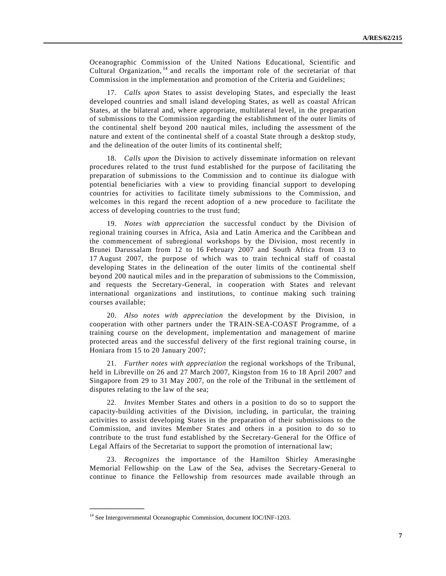Oceanographic Commission of the United Nations Educational, Scientific and Cultural Organization,  $14$  and recalls the important role of the secretariat of that Commission in the implementation and promotion of the Criteria and Guidelines;

17. *Calls upon* States to assist developing States, and especially the least developed countries and small island developing States, as well as coastal African States, at the bilateral and, where appropriate, multilateral level, in the preparation of submissions to the Commission regarding the establishment of the outer limits of the continental shelf beyond 200 nautical miles, including the assessment of the nature and extent of the continental shelf of a coastal State through a desktop study, and the delineation of the outer limits of its continental shelf;

18. *Calls upon* the Division to actively disseminate information on relevant procedures related to the trust fund established for the purpose of facilitating the preparation of submissions to the Commission and to continue its dialogue with potential beneficiaries with a view to providing financial support to developing countries for activities to facilitate timely submissions to the Commission, and welcomes in this regard the recent adoption of a new procedure to facilitate the access of developing countries to the trust fund;

19. *Notes with appreciation* the successful conduct by the Division of regional training courses in Africa, Asia and Latin America and the Caribbean and the commencement of subregional workshops by the Division, most recently in Brunei Darussalam from 12 to 16 February 2007 and South Africa from 13 to 17 August 2007, the purpose of which was to train technical staff of coastal developing States in the delineation of the outer limits of the continental shelf beyond 200 nautical miles and in the preparation of submissions to the Commission, and requests the Secretary-General, in cooperation with States and relevant international organizations and institutions, to continue making such training courses available;

20. *Also notes with appreciation* the development by the Division, in cooperation with other partners under the TRAIN-SEA-COAST Programme, of a training course on the development, implementation and management of marine protected areas and the successful delivery of the first regional training course, in Honiara from 15 to 20 January 2007;

21. *Further notes with appreciation* the regional workshops of the Tribunal, held in Libreville on 26 and 27 March 2007, Kingston from 16 to 18 April 2007 and Singapore from 29 to 31 May 2007, on the role of the Tribunal in the settlement of disputes relating to the law of the sea;

22. *Invites* Member States and others in a position to do so to support the capacity-building activities of the Division, including, in particular, the training activities to assist developing States in the preparation of their submissions to the Commission, and invites Member States and others in a position to do so to contribute to the trust fund established by the Secretary-General for the Office of Legal Affairs of the Secretariat to support the promotion of international law;

23. *Recognizes* the importance of the Hamilton Shirley Amerasinghe Memorial Fellowship on the Law of the Sea, advises the Secretary-General to continue to finance the Fellowship from resources made available through an

<sup>&</sup>lt;sup>14</sup> See Intergovernmental Oceanographic Commission, document IOC/INF-1203.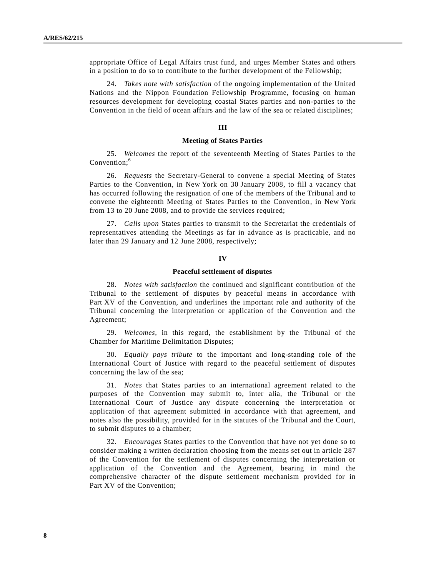appropriate Office of Legal Affairs trust fund, and urges Member States and others in a position to do so to contribute to the further development of the Fellowship;

24. *Takes note with satisfaction* of the ongoing implementation of the United Nations and the Nippon Foundation Fellowship Programme, focusing on human resources development for developing coastal States parties and non-parties to the Convention in the field of ocean affairs and the law of the sea or related disciplines;

### **III**

### **Meeting of States Parties**

25. *Welcomes* the report of the seventeenth Meeting of States Parties to the Convention;<sup>6</sup>

26. *Requests* the Secretary-General to convene a special Meeting of States Parties to the Convention, in New York on 30 January 2008, to fill a vacancy that has occurred following the resignation of one of the members of the Tribunal and to convene the eighteenth Meeting of States Parties to the Convention, in New York from 13 to 20 June 2008, and to provide the services required;

27. *Calls upon* States parties to transmit to the Secretariat the credentials of representatives attending the Meetings as far in advance as is practicable, and no later than 29 January and 12 June 2008, respectively;

#### **IV**

### **Peaceful settlement of disputes**

28. *Notes with satisfaction* the continued and significant contribution of the Tribunal to the settlement of disputes by peaceful means in accordance with Part XV of the Convention, and underlines the important role and authority of the Tribunal concerning the interpretation or application of the Convention and the Agreement;

29. *Welcomes*, in this regard, the establishment by the Tribunal of the Chamber for Maritime Delimitation Disputes;

30. *Equally pays tribute* to the important and long-standing role of the International Court of Justice with regard to the peaceful settlement of disputes concerning the law of the sea;

31. *Notes* that States parties to an international agreement related to the purposes of the Convention may submit to, inter alia, the Tribunal or the International Court of Justice any dispute concerning the interpretation or application of that agreement submitted in accordance with that agreement, and notes also the possibility, provided for in the statutes of the Tribunal and the Court, to submit disputes to a chamber;

32. *Encourages* States parties to the Convention that have not yet done so to consider making a written declaration choosing from the means set out in article 287 of the Convention for the settlement of disputes concerning the interpretation or application of the Convention and the Agreement, bearing in mind the comprehensive character of the dispute settlement mechanism provided for in Part XV of the Convention;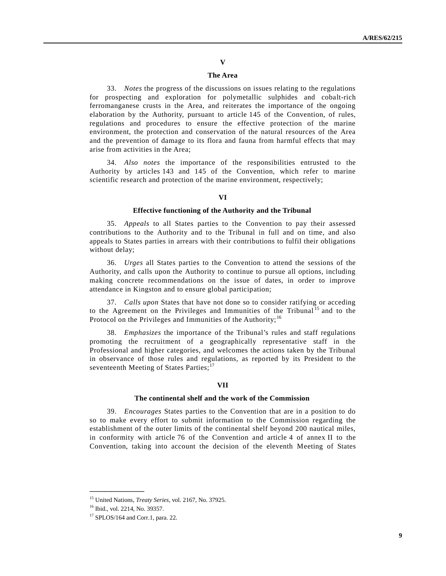**V**

### **The Area**

33. *Notes* the progress of the discussions on issues relating to the regulations for prospecting and exploration for polymetallic sulphides and cobalt-rich ferromanganese crusts in the Area, and reiterates the importance of the ongoing elaboration by the Authority, pursuant to article 145 of the Convention, of rules, regulations and procedures to ensure the effective protection of the marine environment, the protection and conservation of the natural resources of the Area and the prevention of damage to its flora and fauna from harmful effects that may arise from activities in the Area;

34. *Also notes* the importance of the responsibilities entrusted to the Authority by articles 143 and 145 of the Convention, which refer to marine scientific research and protection of the marine environment, respectively;

### **VI**

#### **Effective functioning of the Authority and the Tribunal**

35. *Appeals* to all States parties to the Convention to pay their assessed contributions to the Authority and to the Tribunal in full and on time, and also appeals to States parties in arrears with their contributions to fulfil their obligations without delay;

36. *Urges* all States parties to the Convention to attend the sessions of the Authority, and calls upon the Authority to continue to pursue all options, including making concrete recommendations on the issue of dates, in order to improve attendance in Kingston and to ensure global participation;

37. *Calls upon* States that have not done so to consider ratifying or acceding to the Agreement on the Privileges and Immunities of the Tribunal  $1^5$  and to the Protocol on the Privileges and Immunities of the Authority;<sup>16</sup>

38. *Emphasizes* the importance of the Tribunal's rules and staff regulations promoting the recruitment of a geographically representative staff in the Professional and higher categories, and welcomes the actions taken by the Tribunal in observance of those rules and regulations, as reported by its President to the seventeenth Meeting of States Parties;<sup>17</sup>

### **VII**

### **The continental shelf and the work of the Commission**

39. *Encourages* States parties to the Convention that are in a position to do so to make every effort to submit information to the Commission regarding the establishment of the outer limits of the continental shelf beyond 200 nautical miles, in conformity with article 76 of the Convention and article 4 of annex II to the Convention, taking into account the decision of the eleventh Meeting of States

<sup>15</sup> United Nations, *Treaty Series*, vol. 2167, No. 37925.

<sup>16</sup> Ibid., vol. 2214, No. 39357.

<sup>&</sup>lt;sup>17</sup> SPLOS/164 and Corr.1, para. 22.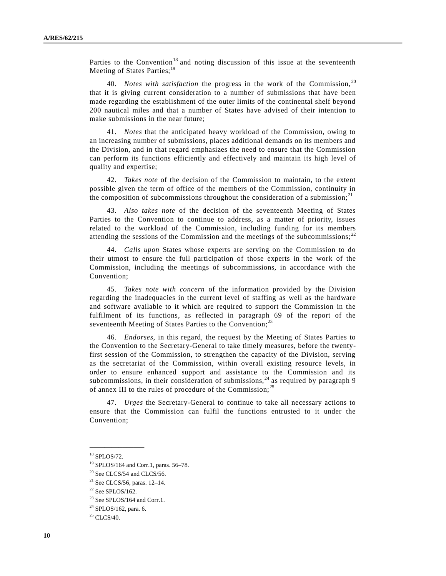Parties to the Convention<sup>18</sup> and noting discussion of this issue at the seventeenth Meeting of States Parties;<sup>19</sup>

40. *Notes with satisfaction* the progress in the work of the Commission, <sup>20</sup> that it is giving current consideration to a number of submissions that have been made regarding the establishment of the outer limits of the continental shelf beyond 200 nautical miles and that a number of States have advised of their intention to make submissions in the near future;

41. *Notes* that the anticipated heavy workload of the Commission, owing to an increasing number of submissions, places additional demands on its members and the Division, and in that regard emphasizes the need to ensure that the Commission can perform its functions efficiently and effectively and maintain its high level of quality and expertise;

42. *Takes note* of the decision of the Commission to maintain, to the extent possible given the term of office of the members of the Commission, continuity in the composition of subcommissions throughout the consideration of a submission;<sup>21</sup>

43. *Also takes note* of the decision of the seventeenth Meeting of States Parties to the Convention to continue to address, as a matter of priority, issues related to the workload of the Commission, including funding for its members attending the sessions of the Commission and the meetings of the subcommissions;  $^{22}$ 

44. *Calls upon* States whose experts are serving on the Commission to do their utmost to ensure the full participation of those experts in the work of the Commission, including the meetings of subcommissions, in accordance with the Convention;

45. *Takes note with concern* of the information provided by the Division regarding the inadequacies in the current level of staffing as well as the hardware and software available to it which are required to support the Commission in the fulfilment of its functions, as reflected in paragraph 69 of the report of the seventeenth Meeting of States Parties to the Convention; $^{23}$ 

46. *Endorses*, in this regard, the request by the Meeting of States Parties to the Convention to the Secretary-General to take timely measures, before the twentyfirst session of the Commission, to strengthen the capacity of the Division, serving as the secretariat of the Commission, within overall existing resource levels, in order to ensure enhanced support and assistance to the Commission and its subcommissions, in their consideration of submissions,  $24$  as required by paragraph 9 of annex III to the rules of procedure of the Commission;<sup>25</sup>

47. *Urges* the Secretary-General to continue to take all necessary actions to ensure that the Commission can fulfil the functions entrusted to it under the Convention;

<sup>18</sup> SPLOS/72.

<sup>19</sup> SPLOS/164 and Corr.1, paras. 56–78.

 $20$  See CLCS/54 and CLCS/56.

<sup>21</sup> See CLCS/56, paras. 12–14.

 $^{22}$  See SPLOS/162.

<sup>&</sup>lt;sup>23</sup> See SPLOS/164 and Corr.1.

<sup>24</sup> SPLOS/162, para. 6.

 $25$  CLCS/40.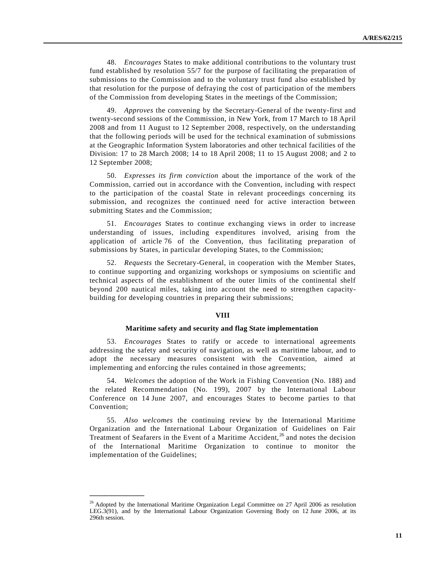48. *Encourages* States to make additional contributions to the voluntary trust fund established by resolution 55/7 for the purpose of facilitating the preparation of submissions to the Commission and to the voluntary trust fund also established by that resolution for the purpose of defraying the cost of participation of the members of the Commission from developing States in the meetings of the Commission;

49. *Approves* the convening by the Secretary-General of the twenty-first and twenty-second sessions of the Commission, in New York, from 17 March to 18 April 2008 and from 11 August to 12 September 2008, respectively, on the understanding that the following periods will be used for the technical examination of submissions at the Geographic Information System laboratories and other technical facilities of the Division: 17 to 28 March 2008; 14 to 18 April 2008; 11 to 15 August 2008; and 2 to 12 September 2008;

50. *Expresses its firm conviction* about the importance of the work of the Commission, carried out in accordance with the Convention, including with respect to the participation of the coastal State in relevant proceedings concerning its submission, and recognizes the continued need for active interaction between submitting States and the Commission;

51. *Encourages* States to continue exchanging views in order to increase understanding of issues, including expenditures involved, arising from the application of article 76 of the Convention, thus facilitating preparation of submissions by States, in particular developing States, to the Commission;

52. *Requests* the Secretary-General, in cooperation with the Member States, to continue supporting and organizing workshops or symposiums on scientific and technical aspects of the establishment of the outer limits of the continental shelf beyond 200 nautical miles, taking into account the need to strengthen capacitybuilding for developing countries in preparing their submissions;

### **VIII**

#### **Maritime safety and security and flag State implementation**

53. *Encourages* States to ratify or accede to international agreements addressing the safety and security of navigation, as well as maritime labour, and to adopt the necessary measures consistent with the Convention, aimed at implementing and enforcing the rules contained in those agreements;

54. *Welcomes* the adoption of the Work in Fishing Convention (No. 188) and the related Recommendation (No. 199), 2007 by the International Labour Conference on 14 June 2007, and encourages States to become parties to that Convention;

55. *Also welcomes* the continuing review by the International Maritime Organization and the International Labour Organization of Guidelines on Fair Treatment of Seafarers in the Event of a Maritime Accident, $^{26}$  and notes the decision of the International Maritime Organization to continue to monitor the implementation of the Guidelines;

<sup>&</sup>lt;sup>26</sup> Adopted by the International Maritime Organization Legal Committee on 27 April 2006 as resolution LEG.3(91), and by the International Labour Organization Governing Body on 12 June 2006, at its 296th session.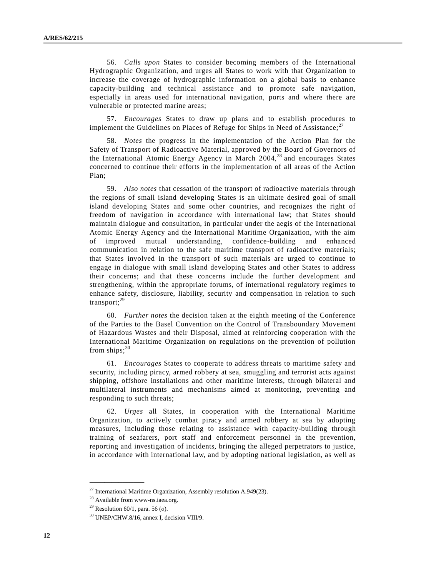56. *Calls upon* States to consider becoming members of the International Hydrographic Organization, and urges all States to work with that Organization to increase the coverage of hydrographic information on a global basis to enhance capacity-building and technical assistance and to promote safe navigation, especially in areas used for international navigation, ports and where there are vulnerable or protected marine areas;

57. *Encourages* States to draw up plans and to establish procedures to implement the Guidelines on Places of Refuge for Ships in Need of Assistance:<sup>27</sup>

58. *Notes* the progress in the implementation of the Action Plan for the Safety of Transport of Radioactive Material, approved by the Board of Governors of the International Atomic Energy Agency in March 2004,<sup>28</sup> and encourages States concerned to continue their efforts in the implementation of all areas of the Action Plan;

59. *Also notes* that cessation of the transport of radioactive materials through the regions of small island developing States is an ultimate desired goal of small island developing States and some other countries, and recognizes the right of freedom of navigation in accordance with international law; that States should maintain dialogue and consultation, in particular under the aegis of the International Atomic Energy Agency and the International Maritime Organization, with the aim of improved mutual understanding, confidence-building and enhanced communication in relation to the safe maritime transport of radioactive materials; that States involved in the transport of such materials are urged to continue to engage in dialogue with small island developing States and other States to address their concerns; and that these concerns include the further development and strengthening, within the appropriate forums, of international regulatory regimes to enhance safety, disclosure, liability, security and compensation in relation to such transport; $^{29}$ 

60. *Further notes* the decision taken at the eighth meeting of the Conference of the Parties to the Basel Convention on the Control of Transboundary Movement of Hazardous Wastes and their Disposal, aimed at reinforcing cooperation with the International Maritime Organization on regulations on the prevention of pollution from ships; $30$ 

61. *Encourages* States to cooperate to address threats to maritime safety and security, including piracy, armed robbery at sea, smuggling and terrorist acts against shipping, offshore installations and other maritime interests, through bilateral and multilateral instruments and mechanisms aimed at monitoring, preventing and responding to such threats;

62. *Urges* all States, in cooperation with the International Maritime Organization, to actively combat piracy and armed robbery at sea by adopting measures, including those relating to assistance with capacity-building through training of seafarers, port staff and enforcement personnel in the prevention, reporting and investigation of incidents, bringing the alleged perpetrators to justice, in accordance with international law, and by adopting national legislation, as well as

 $27$  International Maritime Organization, Assembly resolution A.949(23).

<sup>28</sup> Available from www-ns.iaea.org.

<sup>29</sup> Resolution 60/1, para. 56 (*o*).

<sup>30</sup> UNEP/CHW.8/16, annex I, decision VIII/9.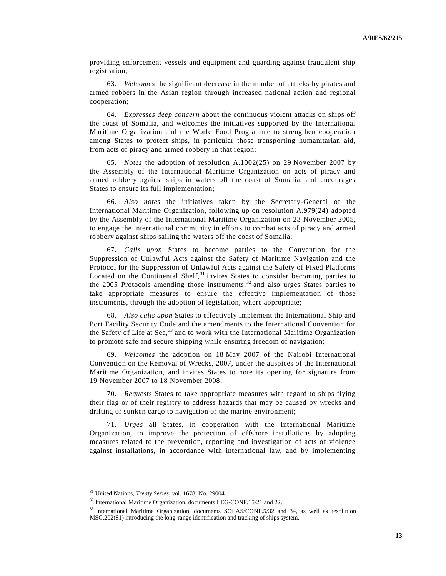providing enforcement vessels and equipment and guarding against fraudulent ship registration;

63. *Welcomes* the significant decrease in the number of attacks by pirates and armed robbers in the Asian region through increased national action and regional cooperation;

64. *Expresses deep concern* about the continuous violent attacks on ships off the coast of Somalia, and welcomes the initiatives supported by the International Maritime Organization and the World Food Programme to strengthen cooperation among States to protect ships, in particular those transporting humanitarian aid, from acts of piracy and armed robbery in that region;

65. *Notes* the adoption of resolution A.1002(25) on 29 November 2007 by the Assembly of the International Maritime Organization on acts of piracy and armed robbery against ships in waters off the coast of Somalia, and encourages States to ensure its full implementation;

66. *Also notes* the initiatives taken by the Secretary-General of the International Maritime Organization, following up on resolution A.979(24) adopted by the Assembly of the International Maritime Organization on 23 November 2005, to engage the international community in efforts to combat acts of piracy and armed robbery against ships sailing the waters off the coast of Somalia;

67. *Calls upon* States to become parties to the Convention for the Suppression of Unlawful Acts against the Safety of Maritime Navigation and the Protocol for the Suppression of Unlawful Acts against the Safety of Fixed Platforms Located on the Continental Shelf, $31$  invites States to consider becoming parties to the 2005 Protocols amending those instruments,  $32$  and also urges States parties to take appropriate measures to ensure the effective implementation of those instruments, through the adoption of legislation, where appropriate;

68. *Also calls upon* States to effectively implement the International Ship and Port Facility Security Code and the amendments to the International Convention for the Safety of Life at Sea,<sup>33</sup> and to work with the International Maritime Organization to promote safe and secure shipping while ensuring freedom of navigation;

69. *Welcomes* the adoption on 18 May 2007 of the Nairobi International Convention on the Removal of Wrecks, 2007, under the auspices of the International Maritime Organization, and invites States to note its opening for signature from 19 November 2007 to 18 November 2008;

70. *Requests* States to take appropriate measures with regard to ships flying their flag or of their registry to address hazards that may be caused by wrecks and drifting or sunken cargo to navigation or the marine environment;

71. *Urges* all States, in cooperation with the International Maritime Organization, to improve the protection of offshore installations by adopting measures related to the prevention, reporting and investigation of acts of violence against installations, in accordance with international law, and by implementing

<sup>31</sup> United Nations, *Treaty Series*, vol. 1678, No. 29004.

<sup>&</sup>lt;sup>32</sup> International Maritime Organization, documents LEG/CONF.15/21 and 22.

<sup>&</sup>lt;sup>33</sup> International Maritime Organization, documents SOLAS/CONF.5/32 and 34, as well as resolution MSC.202(81) introducing the long-range identification and tracking of ships system.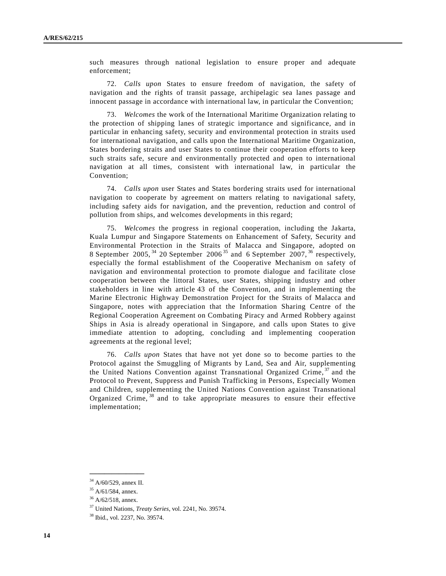such measures through national legislation to ensure proper and adequate enforcement;

72. *Calls upon* States to ensure freedom of navigation, the safety of navigation and the rights of transit passage, archipelagic sea lanes passage and innocent passage in accordance with international law, in particular the Convention;

73. *Welcomes* the work of the International Maritime Organization relating to the protection of shipping lanes of strategic importance and significance, and in particular in enhancing safety, security and environmental protection in straits used for international navigation, and calls upon the International Maritime Organization, States bordering straits and user States to continue their cooperation efforts to keep such straits safe, secure and environmentally protected and open to international navigation at all times, consistent with international law, in particular the Convention;

74. *Calls upon* user States and States bordering straits used for international navigation to cooperate by agreement on matters relating to navigational safety, including safety aids for navigation, and the prevention, reduction and control of pollution from ships, and welcomes developments in this regard;

75. *Welcomes* the progress in regional cooperation, including the Jakarta, Kuala Lumpur and Singapore Statements on Enhancement of Safety, Security and Environmental Protection in the Straits of Malacca and Singapore, adopted on 8 September 2005, <sup>34</sup> 20 September 2006<sup>35</sup> and 6 September 2007, <sup>36</sup> respectively, especially the formal establishment of the Cooperative Mechanism on safety of navigation and environmental protection to promote dialogue and facilitate close cooperation between the littoral States, user States, shipping industry and other stakeholders in line with article 43 of the Convention, and in implementing the Marine Electronic Highway Demonstration Project for the Straits of Malacca and Singapore, notes with appreciation that the Information Sharing Centre of the Regional Cooperation Agreement on Combating Piracy and Armed Robbery against Ships in Asia is already operational in Singapore, and calls upon States to give immediate attention to adopting, concluding and implementing cooperation agreements at the regional level;

76. *Calls upon* States that have not yet done so to become parties to the Protocol against the Smuggling of Migrants by Land, Sea and Air, supplementing the United Nations Convention against Transnational Organized Crime, <sup>37</sup> and the Protocol to Prevent, Suppress and Punish Trafficking in Persons, Especially Women and Children, supplementing the United Nations Convention against Transnational Organized Crime, <sup>38</sup> and to take appropriate measures to ensure their effective implementation;

**\_\_\_\_\_\_\_\_\_\_\_\_\_\_\_** <sup>34</sup> A/60/529, annex II.

<sup>35</sup> A/61/584, annex.

<sup>36</sup> A/62/518, annex.

<sup>37</sup> United Nations, *Treaty Series*, vol. 2241, No. 39574.

<sup>38</sup> Ibid., vol. 2237, No. 39574.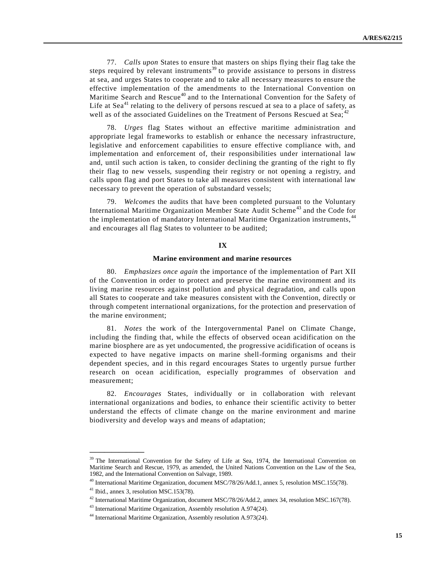77. *Calls upon* States to ensure that masters on ships flying their flag take the steps required by relevant instruments<sup>39</sup> to provide assistance to persons in distress at sea, and urges States to cooperate and to take all necessary measures to ensure the effective implementation of the amendments to the International Convention on Maritime Search and Rescue<sup>40</sup> and to the International Convention for the Safety of Life at Sea<sup>41</sup> relating to the delivery of persons rescued at sea to a place of safety, as well as of the associated Guidelines on the Treatment of Persons Rescued at Sea;<sup>4</sup>

78. *Urges* flag States without an effective maritime administration and appropriate legal frameworks to establish or enhance the necessary infrastructure, legislative and enforcement capabilities to ensure effective compliance with, and implementation and enforcement of, their responsibilities under international law and, until such action is taken, to consider declining the granting of the right to fly their flag to new vessels, suspending their registry or not opening a registry, and calls upon flag and port States to take all measures consistent with international law necessary to prevent the operation of substandard vessels;

79. *Welcomes* the audits that have been completed pursuant to the Voluntary International Maritime Organization Member State Audit Scheme<sup>43</sup> and the Code for the implementation of mandatory International Maritime Organization instruments, <sup>44</sup> and encourages all flag States to volunteer to be audited;

### **IX**

#### **Marine environment and marine resources**

80. *Emphasizes once again* the importance of the implementation of Part XII of the Convention in order to protect and preserve the marine environment and its living marine resources against pollution and physical degradation, and calls upon all States to cooperate and take measures consistent with the Convention, directly or through competent international organizations, for the protection and preservation of the marine environment;

81. *Notes* the work of the Intergovernmental Panel on Climate Change, including the finding that, while the effects of observed ocean acidification on the marine biosphere are as yet undocumented, the progressive acidification of oceans is expected to have negative impacts on marine shell-forming organisms and their dependent species, and in this regard encourages States to urgently pursue further research on ocean acidification, especially programmes of observation and measurement;

82. *Encourages* States, individually or in collaboration with relevant international organizations and bodies, to enhance their scientific activity to better understand the effects of climate change on the marine environment and marine biodiversity and develop ways and means of adaptation;

<sup>&</sup>lt;sup>39</sup> The International Convention for the Safety of Life at Sea, 1974, the International Convention on Maritime Search and Rescue, 1979, as amended, the United Nations Convention on the Law of the Sea, 1982, and the International Convention on Salvage, 1989.

<sup>40</sup> International Maritime Organization, document MSC/78/26/Add.1, annex 5, resolution MSC.155(78).

<sup>41</sup> Ibid., annex 3, resolution MSC.153(78).

<sup>42</sup> International Maritime Organization, document MSC/78/26/Add.2, annex 34, resolution MSC.167(78).

<sup>43</sup> International Maritime Organization, Assembly resolution A.974(24).

<sup>44</sup> International Maritime Organization, Assembly resolution A.973(24).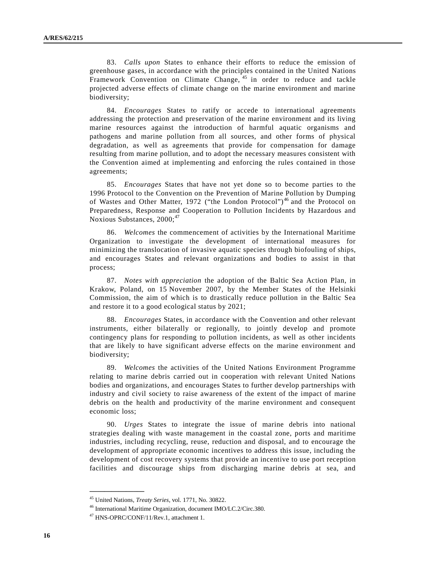83. *Calls upon* States to enhance their efforts to reduce the emission of greenhouse gases, in accordance with the principles contained in the United Nations Framework Convention on Climate Change, <sup>45</sup> in order to reduce and tackle projected adverse effects of climate change on the marine environment and marine biodiversity;

84. *Encourages* States to ratify or accede to international agreements addressing the protection and preservation of the marine environment and its living marine resources against the introduction of harmful aquatic organisms and pathogens and marine pollution from all sources, and other forms of physical degradation, as well as agreements that provide for compensation for damage resulting from marine pollution, and to adopt the necessary measures consistent with the Convention aimed at implementing and enforcing the rules contained in those agreements;

85. *Encourages* States that have not yet done so to become parties to the 1996 Protocol to the Convention on the Prevention of Marine Pollution by Dumping of Wastes and Other Matter, 1972 ("the London Protocol") <sup>46</sup> and the Protocol on Preparedness, Response and Cooperation to Pollution Incidents by Hazardous and Noxious Substances,  $2000$ ;  $47$ 

86. *Welcomes* the commencement of activities by the International Maritime Organization to investigate the development of international measures for minimizing the translocation of invasive aquatic species through biofouling of ships, and encourages States and relevant organizations and bodies to assist in that process;

87. *Notes with appreciation* the adoption of the Baltic Sea Action Plan, in Krakow, Poland, on 15 November 2007, by the Member States of the Helsinki Commission, the aim of which is to drastically reduce pollution in the Baltic Sea and restore it to a good ecological status by 2021;

88. *Encourages* States, in accordance with the Convention and other relevant instruments, either bilaterally or regionally, to jointly develop and promote contingency plans for responding to pollution incidents, as well as other incidents that are likely to have significant adverse effects on the marine environment and biodiversity;

89. *Welcomes* the activities of the United Nations Environment Programme relating to marine debris carried out in cooperation with relevant United Nations bodies and organizations, and encourages States to further develop partnerships with industry and civil society to raise awareness of the extent of the impact of marine debris on the health and productivity of the marine environment and consequent economic loss;

90. *Urges* States to integrate the issue of marine debris into national strategies dealing with waste management in the coastal zone, ports and maritime industries, including recycling, reuse, reduction and disposal, and to encourage the development of appropriate economic incentives to address this issue, including the development of cost recovery systems that provide an incentive to use port reception facilities and discourage ships from discharging marine debris at sea, and

<sup>45</sup> United Nations, *Treaty Series*, vol. 1771, No. 30822.

<sup>46</sup> International Maritime Organization, document IMO/LC.2/Circ.380.

<sup>47</sup> HNS-OPRC/CONF/11/Rev.1, attachment 1.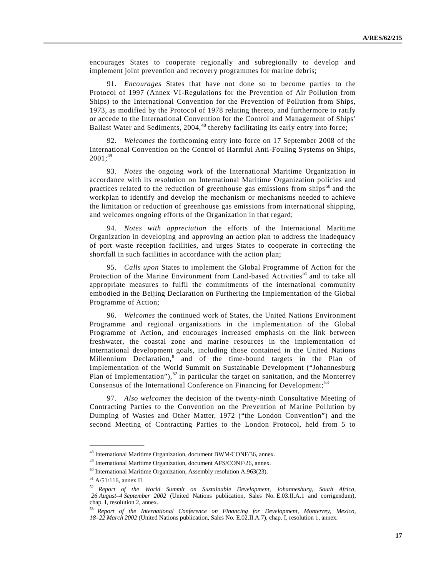encourages States to cooperate regionally and subregionally to develop and implement joint prevention and recovery programmes for marine debris;

91. *Encourages* States that have not done so to become parties to the Protocol of 1997 (Annex VI-Regulations for the Prevention of Air Pollution from Ships) to the International Convention for the Prevention of Pollution from Ships, 1973, as modified by the Protocol of 1978 relating thereto, and furthermore to ratify or accede to the International Convention for the Control and Management of Ships' Ballast Water and Sediments, 2004,<sup>48</sup> thereby facilitating its early entry into force;

92. *Welcomes* the forthcoming entry into force on 17 September 2008 of the International Convention on the Control of Harmful Anti-Fouling Systems on Ships,  $2001:^{49}$ 

93. *Notes* the ongoing work of the International Maritime Organization in accordance with its resolution on International Maritime Organization policies and practices related to the reduction of greenhouse gas emissions from ships<sup>50</sup> and the workplan to identify and develop the mechanism or mechanisms needed to achieve the limitation or reduction of greenhouse gas emissions from international shipping, and welcomes ongoing efforts of the Organization in that regard;

94. *Notes with appreciation* the efforts of the International Maritime Organization in developing and approving an action plan to address the inadequacy of port waste reception facilities, and urges States to cooperate in correcting the shortfall in such facilities in accordance with the action plan;

95. *Calls upon* States to implement the Global Programme of Action for the Protection of the Marine Environment from Land-based Activities<sup>51</sup> and to take all appropriate measures to fulfil the commitments of the international community embodied in the Beijing Declaration on Furthering the Implementation of the Global Programme of Action;

96. *Welcomes* the continued work of States, the United Nations Environment Programme and regional organizations in the implementation of the Global Programme of Action, and encourages increased emphasis on the link between freshwater, the coastal zone and marine resources in the implementation of international development goals, including those contained in the United Nations Millennium Declaration, $8$  and of the time-bound targets in the Plan of Implementation of the World Summit on Sustainable Development ("Johannesburg Plan of Implementation"),<sup>52</sup> in particular the target on sanitation, and the Monterrey Consensus of the International Conference on Financing for Development;<sup>53</sup>

97. *Also welcomes* the decision of the twenty-ninth Consultative Meeting of Contracting Parties to the Convention on the Prevention of Marine Pollution by Dumping of Wastes and Other Matter, 1972 ("the London Convention") and the second Meeting of Contracting Parties to the London Protocol, held from 5 to

<sup>48</sup> International Maritime Organization, document BWM/CONF/36, annex.

<sup>49</sup> International Maritime Organization, document AFS/CONF/26, annex.

<sup>50</sup> International Maritime Organization, Assembly resolution A.963(23).

<sup>51</sup> A/51/116, annex II.

<sup>52</sup> *Report of the World Summit on Sustainable Development, Johannesburg, South Africa, 26 August–4 September 2002* (United Nations publication, Sales No. E.03.II.A.1 and corrigendum), chap. I, resolution 2, annex.

<sup>53</sup> *Report of the International Conference on Financing for Development, Monterrey, Mexico, 18–22 March 2002* (United Nations publication, Sales No. E.02.II.A.7), chap. I, resolution 1, annex.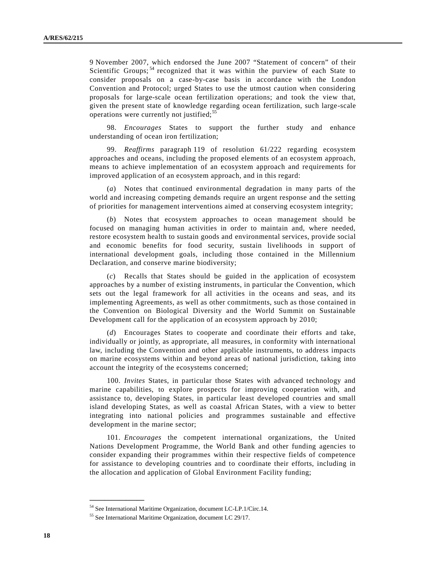9 November 2007, which endorsed the June 2007 "Statement of concern" of their Scientific Groups;<sup>54</sup> recognized that it was within the purview of each State to consider proposals on a case-by-case basis in accordance with the London Convention and Protocol; urged States to use the utmost caution when considering proposals for large-scale ocean fertilization operations; and took the view that, given the present state of knowledge regarding ocean fertilization, such large-scale operations were currently not justified; $55$ 

98. *Encourages* States to support the further study and enhance understanding of ocean iron fertilization;

99. *Reaffirms* paragraph 119 of resolution 61/222 regarding ecosystem approaches and oceans, including the proposed elements of an ecosystem approach, means to achieve implementation of an ecosystem approach and requirements for improved application of an ecosystem approach, and in this regard:

(*a*) Notes that continued environmental degradation in many parts of the world and increasing competing demands require an urgent response and the setting of priorities for management interventions aimed at conserving ecosystem integrity;

(*b*) Notes that ecosystem approaches to ocean management should be focused on managing human activities in order to maintain and, where needed, restore ecosystem health to sustain goods and environmental services, provide social and economic benefits for food security, sustain livelihoods in support of international development goals, including those contained in the Millennium Declaration, and conserve marine biodiversity;

(*c*) Recalls that States should be guided in the application of ecosystem approaches by a number of existing instruments, in particular the Convention, which sets out the legal framework for all activities in the oceans and seas, and its implementing Agreements, as well as other commitments, such as those contained in the Convention on Biological Diversity and the World Summit on Sustainable Development call for the application of an ecosystem approach by 2010;

(*d*) Encourages States to cooperate and coordinate their efforts and take, individually or jointly, as appropriate, all measures, in conformity with international law, including the Convention and other applicable instruments, to address impacts on marine ecosystems within and beyond areas of national jurisdiction, taking into account the integrity of the ecosystems concerned;

100. *Invites* States, in particular those States with advanced technology and marine capabilities, to explore prospects for improving cooperation with, and assistance to, developing States, in particular least developed countries and small island developing States, as well as coastal African States, with a view to better integrating into national policies and programmes sustainable and effective development in the marine sector;

101. *Encourages* the competent international organizations, the United Nations Development Programme, the World Bank and other funding agencies to consider expanding their programmes within their respective fields of competence for assistance to developing countries and to coordinate their efforts, including in the allocation and application of Global Environment Facility funding;

<sup>54</sup> See International Maritime Organization, document LC-LP.1/Circ.14.

<sup>55</sup> See International Maritime Organization, document LC 29/17.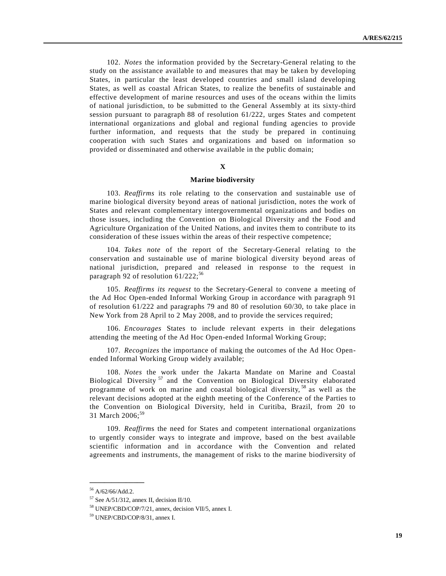102. *Notes* the information provided by the Secretary-General relating to the study on the assistance available to and measures that may be taken by developing States, in particular the least developed countries and small island developing States, as well as coastal African States, to realize the benefits of sustainable and effective development of marine resources and uses of the oceans within the limits of national jurisdiction, to be submitted to the General Assembly at its sixty-third session pursuant to paragraph 88 of resolution 61/222, urges States and competent international organizations and global and regional funding agencies to provide further information, and requests that the study be prepared in continuing cooperation with such States and organizations and based on information so provided or disseminated and otherwise available in the public domain;

### **X**

### **Marine biodiversity**

103. *Reaffirms* its role relating to the conservation and sustainable use of marine biological diversity beyond areas of national jurisdiction, notes the work of States and relevant complementary intergovernmental organizations and bodies on those issues, including the Convention on Biological Diversity and the Food and Agriculture Organization of the United Nations, and invites them to contribute to its consideration of these issues within the areas of their respective competence;

104. *Takes note* of the report of the Secretary-General relating to the conservation and sustainable use of marine biological diversity beyond areas of national jurisdiction, prepared and released in response to the request in paragraph 92 of resolution  $61/222$ ;<sup>56</sup>

105. *Reaffirms its request* to the Secretary-General to convene a meeting of the Ad Hoc Open-ended Informal Working Group in accordance with paragraph 91 of resolution 61/222 and paragraphs 79 and 80 of resolution 60/30, to take place in New York from 28 April to 2 May 2008, and to provide the services required;

106. *Encourages* States to include relevant experts in their delegations attending the meeting of the Ad Hoc Open-ended Informal Working Group;

107. *Recognizes* the importance of making the outcomes of the Ad Hoc Openended Informal Working Group widely available;

108. *Notes* the work under the Jakarta Mandate on Marine and Coastal Biological Diversity <sup>57</sup> and the Convention on Biological Diversity elaborated programme of work on marine and coastal biological diversity, <sup>58</sup> as well as the relevant decisions adopted at the eighth meeting of the Conference of the Parties to the Convention on Biological Diversity, held in Curitiba, Brazil, from 20 to 31 March 2006;<sup>59</sup>

109. *Reaffirm*s the need for States and competent international organizations to urgently consider ways to integrate and improve, based on the best available scientific information and in accordance with the Convention and related agreements and instruments, the management of risks to the marine biodiversity of

<sup>56</sup> A/62/66/Add.2.

 $57$  See A/51/312, annex II, decision II/10.

<sup>58</sup> UNEP/CBD/COP/7/21, annex, decision VII/5, annex I.

<sup>59</sup> UNEP/CBD/COP/8/31, annex I.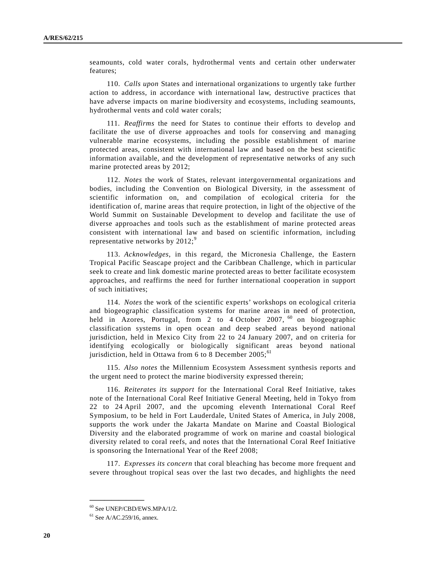seamounts, cold water corals, hydrothermal vents and certain other underwater features;

110. *Calls upon* States and international organizations to urgently take further action to address, in accordance with international law, destructive practices that have adverse impacts on marine biodiversity and ecosystems, including seamounts, hydrothermal vents and cold water corals;

111. *Reaffirms* the need for States to continue their efforts to develop and facilitate the use of diverse approaches and tools for conserving and managing vulnerable marine ecosystems, including the possible establishment of marine protected areas, consistent with international law and based on the best scientific information available, and the development of representative networks of any such marine protected areas by 2012;

112. *Notes* the work of States, relevant intergovernmental organizations and bodies, including the Convention on Biological Diversity, in the assessment of scientific information on, and compilation of ecological criteria for the identification of, marine areas that require protection, in light of the objective of the World Summit on Sustainable Development to develop and facilitate the use of diverse approaches and tools such as the establishment of marine protected areas consistent with international law and based on scientific information, including representative networks by  $2012$ ;<sup>9</sup>

113. *Acknowledges*, in this regard, the Micronesia Challenge, the Eastern Tropical Pacific Seascape project and the Caribbean Challenge, which in particular seek to create and link domestic marine protected areas to better facilitate ecosystem approaches, and reaffirms the need for further international cooperation in support of such initiatives;

114. *Notes* the work of the scientific experts' workshops on ecological criteria and biogeographic classification systems for marine areas in need of protection, held in Azores, Portugal, from 2 to 4 October 2007,  $^{60}$  on biogeographic classification systems in open ocean and deep seabed areas beyond national jurisdiction, held in Mexico City from 22 to 24 January 2007, and on criteria for identifying ecologically or biologically significant areas beyond national jurisdiction, held in Ottawa from 6 to 8 December  $2005$ ;<sup>61</sup>

115. *Also notes* the Millennium Ecosystem Assessment synthesis reports and the urgent need to protect the marine biodiversity expressed therein;

116. *Reiterates its support* for the International Coral Reef Initiative, takes note of the International Coral Reef Initiative General Meeting, held in Tokyo from 22 to 24 April 2007, and the upcoming eleventh International Coral Reef Symposium, to be held in Fort Lauderdale, United States of America, in July 2008, supports the work under the Jakarta Mandate on Marine and Coastal Biological Diversity and the elaborated programme of work on marine and coastal biological diversity related to coral reefs, and notes that the International Coral Reef Initiative is sponsoring the International Year of the Reef 2008;

117. *Expresses its concern* that coral bleaching has become more frequent and severe throughout tropical seas over the last two decades, and highlights the need

 $^{60}$  See UNEP/CBD/EWS.MPA/1/2.

 $61$  See A/AC.259/16, annex.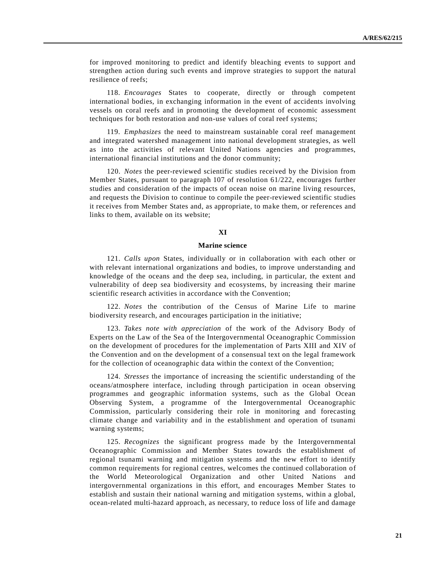for improved monitoring to predict and identify bleaching events to support and strengthen action during such events and improve strategies to support the natural resilience of reefs;

118. *Encourages* States to cooperate, directly or through competent international bodies, in exchanging information in the event of accidents involving vessels on coral reefs and in promoting the development of economic assessment techniques for both restoration and non-use values of coral reef systems;

119. *Emphasizes* the need to mainstream sustainable coral reef management and integrated watershed management into national development strategies, as well as into the activities of relevant United Nations agencies and programmes, international financial institutions and the donor community;

120. *Notes* the peer-reviewed scientific studies received by the Division from Member States, pursuant to paragraph 107 of resolution 61/222, encourages further studies and consideration of the impacts of ocean noise on marine living resources, and requests the Division to continue to compile the peer-reviewed scientific studies it receives from Member States and, as appropriate, to make them, or references and links to them, available on its website;

### **XI**

### **Marine science**

121. *Calls upon* States, individually or in collaboration with each other or with relevant international organizations and bodies, to improve understanding and knowledge of the oceans and the deep sea, including, in particular, the extent and vulnerability of deep sea biodiversity and ecosystems, by increasing their marine scientific research activities in accordance with the Convention;

122. *Notes* the contribution of the Census of Marine Life to marine biodiversity research, and encourages participation in the initiative;

123. *Takes note with appreciation* of the work of the Advisory Body of Experts on the Law of the Sea of the Intergovernmental Oceanographic Commission on the development of procedures for the implementation of Parts XIII and XIV of the Convention and on the development of a consensual text on the legal framework for the collection of oceanographic data within the context of the Convention;

124. *Stresses* the importance of increasing the scientific understanding of the oceans/atmosphere interface, including through participation in ocean observing programmes and geographic information systems, such as the Global Ocean Observing System, a programme of the Intergovernmental Oceanographic Commission, particularly considering their role in monitoring and forecasting climate change and variability and in the establishment and operation of tsunami warning systems;

125. *Recognizes* the significant progress made by the Intergovernmental Oceanographic Commission and Member States towards the establishment of regional tsunami warning and mitigation systems and the new effort to identify common requirements for regional centres, welcomes the continued collaboration of the World Meteorological Organization and other United Nations and intergovernmental organizations in this effort, and encourages Member States to establish and sustain their national warning and mitigation systems, within a global, ocean-related multi-hazard approach, as necessary, to reduce loss of life and damage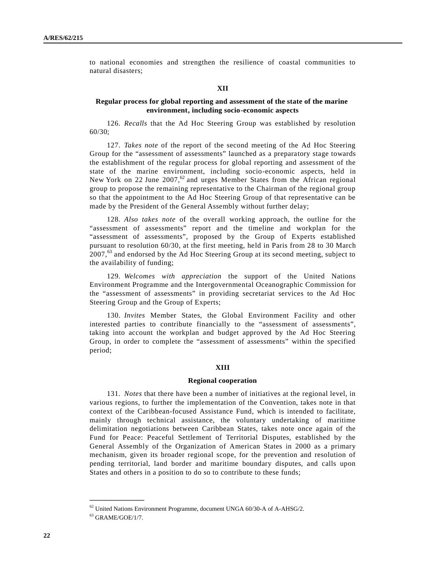to national economies and strengthen the resilience of coastal communities to natural disasters;

### **XII**

### **Regular process for global reporting and assessment of the state of the marine environment, including socio-economic aspects**

126. *Recalls* that the Ad Hoc Steering Group was established by resolution 60/30;

127. *Takes note* of the report of the second meeting of the Ad Hoc Steering Group for the "assessment of assessments" launched as a preparatory stage towards the establishment of the regular process for global reporting and assessment of the state of the marine environment, including socio-economic aspects, held in New York on 22 June  $2007$ ,<sup>62</sup> and urges Member States from the African regional group to propose the remaining representative to the Chairman of the regional group so that the appointment to the Ad Hoc Steering Group of that representative can be made by the President of the General Assembly without further delay;

128. *Also takes note* of the overall working approach, the outline for the "assessment of assessments" report and the timeline and workplan for the "assessment of assessments", proposed by the Group of Experts established pursuant to resolution 60/30, at the first meeting, held in Paris from 28 to 30 March  $2007<sup>63</sup>$  and endorsed by the Ad Hoc Steering Group at its second meeting, subject to the availability of funding;

129. *Welcomes with appreciation* the support of the United Nations Environment Programme and the Intergovernmental Oceanographic Commission for the "assessment of assessments" in providing secretariat services to the Ad Hoc Steering Group and the Group of Experts;

130. *Invites* Member States, the Global Environment Facility and other interested parties to contribute financially to the "assessment of assessments", taking into account the workplan and budget approved by the Ad Hoc Steering Group, in order to complete the "assessment of assessments" within the specified period;

#### **XIII**

### **Regional cooperation**

131. *Notes* that there have been a number of initiatives at the regional level, in various regions, to further the implementation of the Convention, takes note in that context of the Caribbean-focused Assistance Fund, which is intended to facilitate, mainly through technical assistance, the voluntary undertaking of maritime delimitation negotiations between Caribbean States, takes note once again of the Fund for Peace: Peaceful Settlement of Territorial Disputes, established by the General Assembly of the Organization of American States in 2000 as a primary mechanism, given its broader regional scope, for the prevention and resolution of pending territorial, land border and maritime boundary disputes, and calls upon States and others in a position to do so to contribute to these funds;

<sup>62</sup> United Nations Environment Programme, document UNGA 60/30-A of A-AHSG/2.

<sup>63</sup> GRAME/GOE/1/7.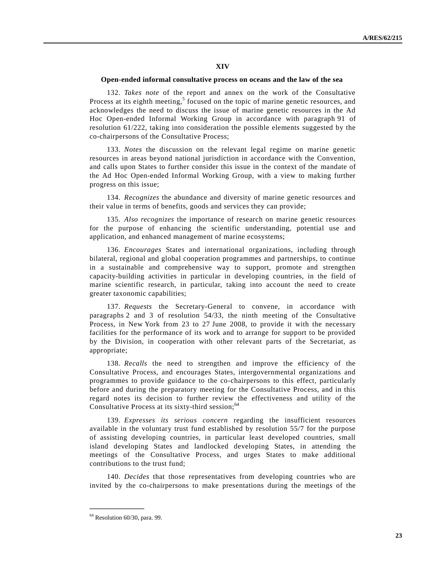### **XIV**

### **Open-ended informal consultative process on oceans and the law of the sea**

132. *Takes note* of the report and annex on the work of the Consultative Process at its eighth meeting,<sup>5</sup> focused on the topic of marine genetic resources, and acknowledges the need to discuss the issue of marine genetic resources in the Ad Hoc Open-ended Informal Working Group in accordance with paragraph 91 of resolution 61/222, taking into consideration the possible elements suggested by the co-chairpersons of the Consultative Process;

133. *Notes* the discussion on the relevant legal regime on marine genetic resources in areas beyond national jurisdiction in accordance with the Convention, and calls upon States to further consider this issue in the context of the mandate of the Ad Hoc Open-ended Informal Working Group, with a view to making further progress on this issue;

134. *Recognizes* the abundance and diversity of marine genetic resources and their value in terms of benefits, goods and services they can provide;

135. *Also recognizes* the importance of research on marine genetic resources for the purpose of enhancing the scientific understanding, potential use and application, and enhanced management of marine ecosystems;

136. *Encourages* States and international organizations, including through bilateral, regional and global cooperation programmes and partnerships, to continue in a sustainable and comprehensive way to support, promote and strengthen capacity-building activities in particular in developing countries, in the field of marine scientific research, in particular, taking into account the need to create greater taxonomic capabilities;

137. *Requests* the Secretary-General to convene, in accordance with paragraphs 2 and 3 of resolution 54/33, the ninth meeting of the Consultative Process, in New York from 23 to 27 June 2008, to provide it with the necessary facilities for the performance of its work and to arrange for support to be provided by the Division, in cooperation with other relevant parts of the Secretariat, as appropriate;

138. *Recalls* the need to strengthen and improve the efficiency of the Consultative Process, and encourages States, intergovernmental organizations and programmes to provide guidance to the co-chairpersons to this effect, particularly before and during the preparatory meeting for the Consultative Process, and in this regard notes its decision to further review the effectiveness and utility of the Consultative Process at its sixty-third session; $64$ 

139. *Expresses its serious concern* regarding the insufficient resources available in the voluntary trust fund established by resolution 55/7 for the purpose of assisting developing countries, in particular least developed countries, small island developing States and landlocked developing States, in attending the meetings of the Consultative Process, and urges States to make additional contributions to the trust fund;

140. *Decides* that those representatives from developing countries who are invited by the co-chairpersons to make presentations during the meetings of the

<sup>64</sup> Resolution 60/30, para. 99.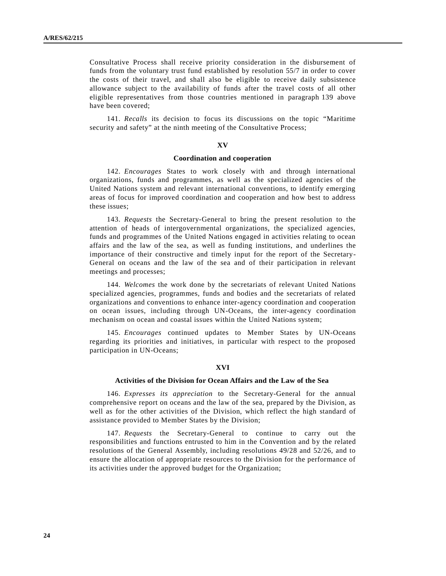Consultative Process shall receive priority consideration in the disbursement of funds from the voluntary trust fund established by resolution 55/7 in order to cover the costs of their travel, and shall also be eligible to receive daily subsistence allowance subject to the availability of funds after the travel costs of all other eligible representatives from those countries mentioned in paragraph 139 above have been covered;

141. *Recalls* its decision to focus its discussions on the topic "Maritime security and safety" at the ninth meeting of the Consultative Process;

### **XV**

#### **Coordination and cooperation**

142. *Encourages* States to work closely with and through international organizations, funds and programmes, as well as the specialized agencies of the United Nations system and relevant international conventions, to identify emerging areas of focus for improved coordination and cooperation and how best to address these issues;

143. *Requests* the Secretary-General to bring the present resolution to the attention of heads of intergovernmental organizations, the specialized agencies, funds and programmes of the United Nations engaged in activities relating to ocean affairs and the law of the sea, as well as funding institutions, and underlines the importance of their constructive and timely input for the report of the Secretary-General on oceans and the law of the sea and of their participation in relevant meetings and processes;

144. *Welcomes* the work done by the secretariats of relevant United Nations specialized agencies, programmes, funds and bodies and the secretariats of related organizations and conventions to enhance inter-agency coordination and cooperation on ocean issues, including through UN-Oceans, the inter-agency coordination mechanism on ocean and coastal issues within the United Nations system;

145. *Encourages* continued updates to Member States by UN-Oceans regarding its priorities and initiatives, in particular with respect to the proposed participation in UN-Oceans;

### **XVI**

### **Activities of the Division for Ocean Affairs and the Law of the Sea**

146. *Expresses its appreciation* to the Secretary-General for the annual comprehensive report on oceans and the law of the sea, prepared by the Division, as well as for the other activities of the Division, which reflect the high standard of assistance provided to Member States by the Division;

147. *Requests* the Secretary-General to continue to carry out the responsibilities and functions entrusted to him in the Convention and by the related resolutions of the General Assembly, including resolutions 49/28 and 52/26, and to ensure the allocation of appropriate resources to the Division for the performance of its activities under the approved budget for the Organization;